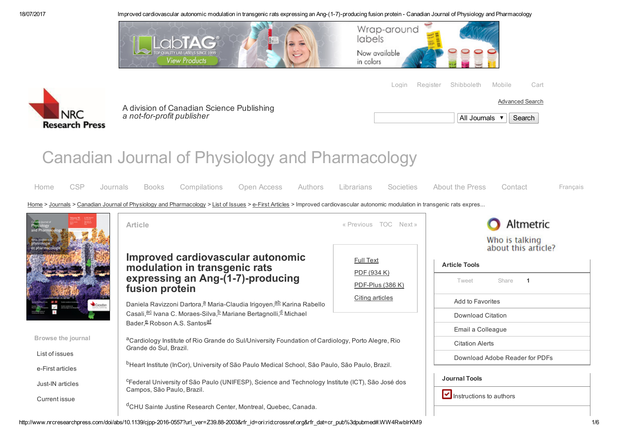

[Login](https://www.nrcresearchpress.com/action/showLogin?redirectUri=%2Fdoi%2Fabs%2F10.1139%2Fcjpp-2016-0557%3Furl_ver%3DZ39.88-2003%26rfr_id%3Dori%253Arid%253Acrossref.org%26rfr_dat%3Dcr_pub%253Dpubmed) [Register](https://www.nrcresearchpress.com/action/registration?redirectUri=%2Fdoi%2Fabs%2F10.1139%2Fcjpp-2016-0557%3Furl_ver%3DZ39.88-2003%26rfr_id%3Dori%253Arid%253Acrossref.org%26rfr_dat%3Dcr_pub%253Dpubmed) [Shibboleth](https://www.nrcresearchpress.com/action/ssostart) [Mobile](http://www.nrcresearchpress.com/page/help/topics/mobile) [Cart](https://www.nrcresearchpress.com/action/showCart?backUri=%2Fdoi%2Fabs%2F10.1139%2Fcjpp-2016-0557%3Furl_ver%3DZ39.88-2003&rfr_id=ori%3Arid%3Acrossref.org&rfr_dat=cr_pub%3Dpubmed)

[Advanced](http://www.nrcresearchpress.com/search/advanced) Search



A division of Canadian Science [Publishing](http://www.nrcresearchpress.com/action/clickThrough?id=1314&url=http%3A%2F%2Fwww.cdnsciencepub.com%2F&loc=%2Fdoi%2Fabs%2F10.1139%2Fcjpp-2016-0557%3Furl_ver%3DZ39.88-2003%26rfr_id%3Dori%253Arid%253Acrossref.org%26rfr_dat%3Dcr_pub%253Dpubmed&pubId=40487532&placeholderId=1006&productId=1006) *a* not-for-profit publisher

| Il Journals $\blacktriangledown$ |  |
|----------------------------------|--|
|                                  |  |

# Canadian Journal of Physiology and Pharmacology

| Home                                                                                                                                                                           | <b>CSP</b> | Journals |  |  |  |  |  |  | Books Compilations Open Access Authors Librarians Societies About the Press |  | Contact | Francais |
|--------------------------------------------------------------------------------------------------------------------------------------------------------------------------------|------------|----------|--|--|--|--|--|--|-----------------------------------------------------------------------------|--|---------|----------|
| Home > Journals > Canadian Journal of Physiology and Pharmacology > List of Issues > e-First Articles > Improved cardiovascular autonomic modulation in transgenic rats expres |            |          |  |  |  |  |  |  |                                                                             |  |         |          |
| <b>The Committee of State State</b>                                                                                                                                            |            |          |  |  |  |  |  |  |                                                                             |  |         |          |



http://www.nrcresearchpress.com/doi/abs/10.1139/cipp-2016-0557?url\_ver=Z39.88-2003&rfr\_id=ori:rid:crossref.org&rfr\_dat=cr\_pub%3dpubmed#.WW4RwbIrKM9 1/6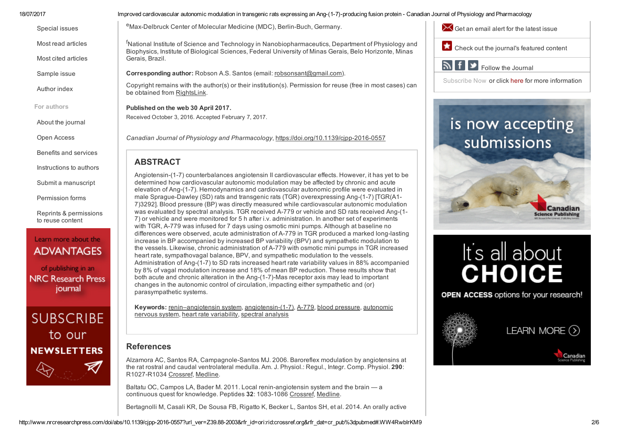Most read [articles](http://www.nrcresearchpress.com/action/clickThrough?id=1442&url=%2Faction%2FshowMostReadArticles%3FjournalCode%3Dcjpp&loc=%2Fdoi%2Fabs%2F10.1139%2Fcjpp-2016-0557%3Furl_ver%3DZ39.88-2003%26rfr_id%3Dori%253Arid%253Acrossref.org%26rfr_dat%3Dcr_pub%253Dpubmed&pubId=40487532&placeholderId=1012&productId=1053)

[Special](http://www.nrcresearchpress.com/action/clickThrough?id=1442&url=%2Faction%2FshowSpecialIssues%3FjournalCode%3Dcjpp&loc=%2Fdoi%2Fabs%2F10.1139%2Fcjpp-2016-0557%3Furl_ver%3DZ39.88-2003%26rfr_id%3Dori%253Arid%253Acrossref.org%26rfr_dat%3Dcr_pub%253Dpubmed&pubId=40487532&placeholderId=1012&productId=1053) issues

Most cited [articles](http://www.nrcresearchpress.com/action/clickThrough?id=1442&url=%2Faction%2FshowMostCitedArticles%3FjournalCode%3Dcjpp&loc=%2Fdoi%2Fabs%2F10.1139%2Fcjpp-2016-0557%3Furl_ver%3DZ39.88-2003%26rfr_id%3Dori%253Arid%253Acrossref.org%26rfr_dat%3Dcr_pub%253Dpubmed&pubId=40487532&placeholderId=1012&productId=1053)

[Sample](http://www.nrcresearchpress.com/action/clickThrough?id=1442&url=%2Faction%2FsampleIssue%3FjournalCode%3Dcjpp&loc=%2Fdoi%2Fabs%2F10.1139%2Fcjpp-2016-0557%3Furl_ver%3DZ39.88-2003%26rfr_id%3Dori%253Arid%253Acrossref.org%26rfr_dat%3Dcr_pub%253Dpubmed&pubId=40487532&placeholderId=1012&productId=1053) issue

[Author](http://www.nrcresearchpress.com/action/clickThrough?id=1442&url=%2Faction%2FshowAuthorIndex%3FjournalCode%3Dcjpp&loc=%2Fdoi%2Fabs%2F10.1139%2Fcjpp-2016-0557%3Furl_ver%3DZ39.88-2003%26rfr_id%3Dori%253Arid%253Acrossref.org%26rfr_dat%3Dcr_pub%253Dpubmed&pubId=40487532&placeholderId=1012&productId=1053) index

For authors

About the [journal](http://www.nrcresearchpress.com/action/clickThrough?id=1442&url=%2Fpage%2Fcjpp%2Feditors&loc=%2Fdoi%2Fabs%2F10.1139%2Fcjpp-2016-0557%3Furl_ver%3DZ39.88-2003%26rfr_id%3Dori%253Arid%253Acrossref.org%26rfr_dat%3Dcr_pub%253Dpubmed&pubId=40487532&placeholderId=1012&productId=1053)

Open [Access](http://www.nrcresearchpress.com/action/clickThrough?id=1442&url=%2Fpage%2Fopen-access%2Foptions&loc=%2Fdoi%2Fabs%2F10.1139%2Fcjpp-2016-0557%3Furl_ver%3DZ39.88-2003%26rfr_id%3Dori%253Arid%253Acrossref.org%26rfr_dat%3Dcr_pub%253Dpubmed&pubId=40487532&placeholderId=1012&productId=1053)

Benefits and [services](http://www.nrcresearchpress.com/action/clickThrough?id=1442&url=%2Fpage%2Fauthors&loc=%2Fdoi%2Fabs%2F10.1139%2Fcjpp-2016-0557%3Furl_ver%3DZ39.88-2003%26rfr_id%3Dori%253Arid%253Acrossref.org%26rfr_dat%3Dcr_pub%253Dpubmed&pubId=40487532&placeholderId=1012&productId=1053)

[Instructions](http://www.nrcresearchpress.com/action/clickThrough?id=1442&url=%2Fpage%2Fcjpp%2Fauthors&loc=%2Fdoi%2Fabs%2F10.1139%2Fcjpp-2016-0557%3Furl_ver%3DZ39.88-2003%26rfr_id%3Dori%253Arid%253Acrossref.org%26rfr_dat%3Dcr_pub%253Dpubmed&pubId=40487532&placeholderId=1012&productId=1053) to authors

Submit a [manuscript](http://www.nrcresearchpress.com/action/clickThrough?id=1442&url=%2Fpage%2Fauthors%2Fservices%2Fsubmissions&loc=%2Fdoi%2Fabs%2F10.1139%2Fcjpp-2016-0557%3Furl_ver%3DZ39.88-2003%26rfr_id%3Dori%253Arid%253Acrossref.org%26rfr_dat%3Dcr_pub%253Dpubmed&pubId=40487532&placeholderId=1012&productId=1053)

[Permission](http://www.nrcresearchpress.com/action/clickThrough?id=1442&url=%2Fpage%2Fauthors%2Finformation%2Fpermissions&loc=%2Fdoi%2Fabs%2F10.1139%2Fcjpp-2016-0557%3Furl_ver%3DZ39.88-2003%26rfr_id%3Dori%253Arid%253Acrossref.org%26rfr_dat%3Dcr_pub%253Dpubmed&pubId=40487532&placeholderId=1012&productId=1053) forms

Reprints & [permissions](http://www.nrcresearchpress.com/action/clickThrough?id=1442&url=%2Fpage%2Fauthors%2Fservices%2Freprints&loc=%2Fdoi%2Fabs%2F10.1139%2Fcjpp-2016-0557%3Furl_ver%3DZ39.88-2003%26rfr_id%3Dori%253Arid%253Acrossref.org%26rfr_dat%3Dcr_pub%253Dpubmed&pubId=40487532&placeholderId=1012&productId=1053) to reuse content

## Learn more about the **ADVANTAGES**

of publishing in an **NRC Research Press** journal

![](_page_1_Picture_16.jpeg)

18/07/2017 **Improved cardiovascular autonomic modulation in transgenic rats expressing an Ang-(1-7)-producing fusion protein - Canadian Journal of Physiology and Pharmacology** 

eMax-Delbruck Center of Molecular Medicine (MDC), Berlin-Buch, Germany.

<sup>f</sup>National Institute of Science and Technology in Nanobiopharmaceutics, Department of Physiology and Biophysics, Institute of Biological Sciences, Federal University of Minas Gerais, Belo Horizonte, Minas Gerais, Brazil.

Corresponding author: Robson A.S. Santos (email: [robsonsant@gmail.com](mailto:robsonsant@gmail.com)).

Copyright remains with the author(s) or their institution(s). Permission for reuse (free in most cases) can be obtained from [RightsLink](http://www.nrcresearchpress.com/page/authors/services/reprints).

Published on the web 30 April 2017.

Received October 3, 2016. Accepted February 7, 2017.

*Canadian Journal of Physiology and Pharmacology*, [https://doi.org/10.1139/cjpp20160557](https://doi.org/10.1139/cjpp-2016-0557)

### ABSTRACT

Angiotensin-(1-7) counterbalances angiotensin II cardiovascular effects. However, it has yet to be determined how cardiovascular autonomic modulation may be affected by chronic and acute elevation of Ang-(1-7). Hemodynamics and cardiovascular autonomic profile were evaluated in male Sprague-Dawley (SD) rats and transgenic rats (TGR) overexpressing Ang- $(1-7)$  [TGR(A1-7)3292]. Blood pressure (BP) was directly measured while cardiovascular autonomic modulation was evaluated by spectral analysis. TGR received A-779 or vehicle and SD rats received Ang-(1-7) or vehicle and were monitored for 5 h after i.v. administration. In another set of experiments with TGR, A-779 was infused for 7 days using osmotic mini pumps. Although at baseline no differences were observed, acute administration of A-779 in TGR produced a marked long-lasting increase in BP accompanied by increased BP variability (BPV) and sympathetic modulation to the vessels. Likewise, chronic administration of A779 with osmotic mini pumps in TGR increased heart rate, sympathovagal balance, BPV, and sympathetic modulation to the vessels. Administration of Ang-(1-7) to SD rats increased heart rate variability values in 88% accompanied by 8% of vagal modulation increase and 18% of mean BP reduction. These results show that both acute and chronic alteration in the Ang-(1-7)-Mas receptor axis may lead to important changes in the autonomic control of circulation, impacting either sympathetic and (or) parasympathetic systems.

Keywo[r](http://www.nrcresearchpress.com/keyword/Autonomic+Nervous+System)ds: r[enin–angiotensin](http://www.nrcresearchpress.com/keyword/Renin%E2%80%93angiotensin+System) system, angiotensin-(1-7), A-779, blood [pressure](http://www.nrcresearchpress.com/keyword/Blood+Pressure), autonomic nervous system, heart rate [variability,](http://www.nrcresearchpress.com/keyword/Heart+Rate+Variability) spectral [analysis](http://www.nrcresearchpress.com/keyword/Spectral+Analysis)

#### References

Alzamora AC, Santos RA, Campagnole-Santos MJ. 2006. Baroreflex modulation by angiotensins at the rat rostral and caudal ventrolateral medulla. Am. J. Physiol.: Regul., Integr. Comp. Physiol. 290: R1027-R1034 [Crossref,](http://www.nrcresearchpress.com/servlet/linkout?suffix=refg1/ref1&dbid=16&doi=10.1139%2Fcjpp-2016-0557&key=10.1152%2Fajpregu.00852.2004) [Medline](http://www.nrcresearchpress.com/servlet/linkout?suffix=refg1/ref1&dbid=8&doi=10.1139%2Fcjpp-2016-0557&key=16306161).

Baltatu OC, Campos LA, Bader M. 2011. Local renin-angiotensin system and the brain - a continuous quest for knowledge. Peptides 32: 1083-1086 [Crossref,](http://www.nrcresearchpress.com/servlet/linkout?suffix=refg2/ref2&dbid=16&doi=10.1139%2Fcjpp-2016-0557&key=10.1016%2Fj.peptides.2011.02.008) [Medline.](http://www.nrcresearchpress.com/servlet/linkout?suffix=refg2/ref2&dbid=8&doi=10.1139%2Fcjpp-2016-0557&key=21333703)

Bertagnolli M, Casali KR, De Sousa FB, Rigatto K, Becker L, Santos SH, et al. 2014. An orally active

![](_page_1_Picture_33.jpeg)

Canadian

 $\sim$  Get an [email](http://www.nrcresearchpress.com/action/clickThrough?id=1374&url=%2Faction%2FshowPreferences%3FmenuTab%3DAlerts&loc=%2Fdoi%2Fabs%2F10.1139%2Fcjpp-2016-0557%3Furl_ver%3DZ39.88-2003%26rfr_id%3Dori%253Arid%253Acrossref.org%26rfr_dat%3Dcr_pub%253Dpubmed&pubId=40487532&placeholderId=1020&productId=1053) alert for the latest issue

 $\blacktriangleright$  Follow the Journal

 $\mathbb{R}^+$ f

**Check out the [journal's](http://www.nrcresearchpress.com/action/clickThrough?id=1374&url=%2Fjournal%2Fcjpp&loc=%2Fdoi%2Fabs%2F10.1139%2Fcjpp-2016-0557%3Furl_ver%3DZ39.88-2003%26rfr_id%3Dori%253Arid%253Acrossref.org%26rfr_dat%3Dcr_pub%253Dpubmed&pubId=40487532&placeholderId=1020&productId=1053) featured content** 

[Subscribe](http://www.nrcresearchpress.com/action/clickThrough?id=1374&url=%2Fpage%2Fcjpp%2Fsub-form&loc=%2Fdoi%2Fabs%2F10.1139%2Fcjpp-2016-0557%3Furl_ver%3DZ39.88-2003%26rfr_id%3Dori%253Arid%253Acrossref.org%26rfr_dat%3Dcr_pub%253Dpubmed&pubId=40487532&placeholderId=1020&productId=1053) Now or click [here](http://www.nrcresearchpress.com/action/clickThrough?id=1374&url=%2Fpage%2Flibrarians&loc=%2Fdoi%2Fabs%2F10.1139%2Fcjpp-2016-0557%3Furl_ver%3DZ39.88-2003%26rfr_id%3Dori%253Arid%253Acrossref.org%26rfr_dat%3Dcr_pub%253Dpubmed&pubId=40487532&placeholderId=1020&productId=1053) for more information

is now accepting

It's all about

**CHOICE** 

**OPEN ACCESS options for your research!** 

LEARN MORE  $(5)$ 

Canadian **Science Publishing** 

submissions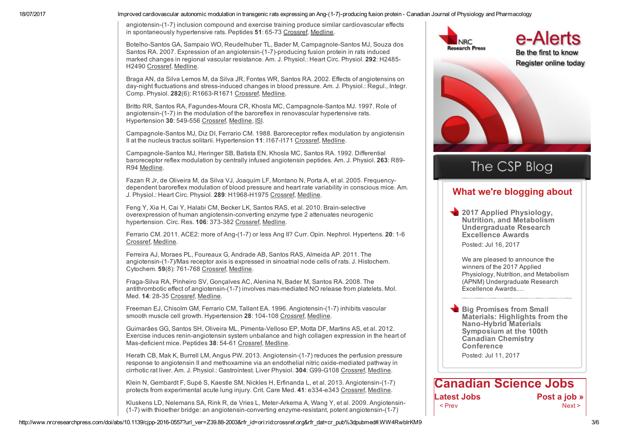angiotensin-(1-7) inclusion compound and exercise training produce similar cardiovascular effects in spontaneously hypertensive rats. Peptides 51: 65-73 [Crossref](http://www.nrcresearchpress.com/servlet/linkout?suffix=refg3/ref3&dbid=16&doi=10.1139%2Fcjpp-2016-0557&key=10.1016%2Fj.peptides.2013.11.006). [Medline.](http://www.nrcresearchpress.com/servlet/linkout?suffix=refg3/ref3&dbid=8&doi=10.1139%2Fcjpp-2016-0557&key=24262271)

Botelho-Santos GA, Sampaio WO, Reudelhuber TL, Bader M, Campagnole-Santos MJ, Souza dos Santos RA, 2007. Expression of an angiotensin-(1-7)-producing fusion protein in rats induced marked changes in regional vascular resistance. Am. J. Physiol.: Heart Circ. Physiol. 292: H2485 H2490 [Crossref](http://www.nrcresearchpress.com/servlet/linkout?suffix=refg4/ref4&dbid=16&doi=10.1139%2Fcjpp-2016-0557&key=10.1152%2Fajpheart.01245.2006), [Medline](http://www.nrcresearchpress.com/servlet/linkout?suffix=refg4/ref4&dbid=8&doi=10.1139%2Fcjpp-2016-0557&key=17208987).

Braga AN, da Silva Lemos M, da Silva JR, Fontes WR, Santos RA. 2002. Effects of angiotensins on day-night fluctuations and stress-induced changes in blood pressure. Am. J. Physiol.: Regul., Integr. Comp. Physiol. 282(6): R1663-R1671 [Crossref](http://www.nrcresearchpress.com/servlet/linkout?suffix=refg5/ref5&dbid=16&doi=10.1139%2Fcjpp-2016-0557&key=10.1152%2Fajpregu.00583.2001), [Medline.](http://www.nrcresearchpress.com/servlet/linkout?suffix=refg5/ref5&dbid=8&doi=10.1139%2Fcjpp-2016-0557&key=12010748)

Britto RR, Santos RA, Fagundes-Moura CR, Khosla MC, Campagnole-Santos MJ, 1997. Role of angiotensin-(1-7) in the modulation of the baroreflex in renovascular hypertensive rats. Hypertension 30: 549-556 [Crossref](http://www.nrcresearchpress.com/servlet/linkout?suffix=refg6/ref6&dbid=16&doi=10.1139%2Fcjpp-2016-0557&key=10.1161%2F01.HYP.30.3.549), [Medline,](http://www.nrcresearchpress.com/servlet/linkout?suffix=refg6/ref6&dbid=8&doi=10.1139%2Fcjpp-2016-0557&key=9322980) [ISI](http://www.nrcresearchpress.com/servlet/linkout?suffix=refg6/ref6&dbid=128&doi=10.1139%2Fcjpp-2016-0557&key=A1997XY88000004).

Campagnole-Santos MJ, Diz DI, Ferrario CM. 1988. Baroreceptor reflex modulation by angiotensin II at the nucleus tractus solitarii. Hypertension 11: I167-I171 [Crossref](http://www.nrcresearchpress.com/servlet/linkout?suffix=refg7/ref7&dbid=16&doi=10.1139%2Fcjpp-2016-0557&key=10.1161%2F01.HYP.11.2_Pt_2.I167), [Medline.](http://www.nrcresearchpress.com/servlet/linkout?suffix=refg7/ref7&dbid=8&doi=10.1139%2Fcjpp-2016-0557&key=3346051)

Campagnole-Santos MJ, Heringer SB, Batista EN, Khosla MC, Santos RA, 1992. Differential baroreceptor reflex modulation by centrally infused angiotensin peptides. Am. J. Physiol. 263: R89 R94 [Medline](http://www.nrcresearchpress.com/servlet/linkout?suffix=refg8/ref8&dbid=8&doi=10.1139%2Fcjpp-2016-0557&key=1636797).

Fazan R Jr, de Oliveira M, da Silva VJ, Joaquim LF, Montano N, Porta A, et al. 2005. Frequencydependent baroreflex modulation of blood pressure and heart rate variability in conscious mice. Am. J. Physiol.: Heart Circ. Physiol. 289: H1968-H1975 [Crossref,](http://www.nrcresearchpress.com/servlet/linkout?suffix=refg9/ref9&dbid=16&doi=10.1139%2Fcjpp-2016-0557&key=10.1152%2Fajpheart.01224.2004) [Medline](http://www.nrcresearchpress.com/servlet/linkout?suffix=refg9/ref9&dbid=8&doi=10.1139%2Fcjpp-2016-0557&key=15951338).

Feng Y, Xia H, Cai Y, Halabi CM, Becker LK, Santos RAS, et al. 2010. Brainselective overexpression of human angiotensin-converting enzyme type 2 attenuates neurogenic hypertension. Circ. Res. 106: 373-382 [Crossref,](http://www.nrcresearchpress.com/servlet/linkout?suffix=refg10/ref10&dbid=16&doi=10.1139%2Fcjpp-2016-0557&key=10.1161%2FCIRCRESAHA.109.208645) [Medline](http://www.nrcresearchpress.com/servlet/linkout?suffix=refg10/ref10&dbid=8&doi=10.1139%2Fcjpp-2016-0557&key=19926873).

Ferrario CM. 2011. ACE2: more of Ang-(1-7) or less Ang II? Curr. Opin. Nephrol. Hypertens. 20: 1-6 [Crossref,](http://www.nrcresearchpress.com/servlet/linkout?suffix=refg11/ref11&dbid=16&doi=10.1139%2Fcjpp-2016-0557&key=10.1097%2FMNH.0b013e3283406f57) [Medline.](http://www.nrcresearchpress.com/servlet/linkout?suffix=refg11/ref11&dbid=8&doi=10.1139%2Fcjpp-2016-0557&key=21045683)

Ferreira AJ, Moraes PL, Foureaux G, Andrade AB, Santos RAS, Almeida AP. 2011. The angiotensin-(1-7)/Mas receptor axis is expressed in sinoatrial node cells of rats. J. Histochem. Cytochem. 59(8): 761-768 [Crossref](http://www.nrcresearchpress.com/servlet/linkout?suffix=refg12/ref12&dbid=16&doi=10.1139%2Fcjpp-2016-0557&key=10.1369%2F0022155411411712), [Medline.](http://www.nrcresearchpress.com/servlet/linkout?suffix=refg12/ref12&dbid=8&doi=10.1139%2Fcjpp-2016-0557&key=21606202)

Fraga-Silva RA, Pinheiro SV, Gonçalves AC, Alenina N, Bader M, Santos RA. 2008. The antithrombotic effect of angiotensin-(1-7) involves mas-mediated NO release from platelets. Mol. Med. 14: 28-35 [Crossref](http://www.nrcresearchpress.com/servlet/linkout?suffix=refg13/ref13&dbid=16&doi=10.1139%2Fcjpp-2016-0557&key=10.2119%2F2007-00073.Fraga-Silva), [Medline](http://www.nrcresearchpress.com/servlet/linkout?suffix=refg13/ref13&dbid=8&doi=10.1139%2Fcjpp-2016-0557&key=18026570).

Freeman EJ, Chisolm GM, Ferrario CM, Tallant EA. 1996. Angiotensin-(1-7) inhibits vascular smooth muscle cell growth. Hypertension 28: 104-108 [Crossref](http://www.nrcresearchpress.com/servlet/linkout?suffix=refg14/ref14&dbid=16&doi=10.1139%2Fcjpp-2016-0557&key=10.1161%2F01.HYP.28.1.104), [Medline.](http://www.nrcresearchpress.com/servlet/linkout?suffix=refg14/ref14&dbid=8&doi=10.1139%2Fcjpp-2016-0557&key=8675248)

Guimarães GG, Santos SH, Oliveira ML, Pimenta-Velloso EP, Motta DF, Martins AS, et al. 2012. Exercise induces renin-angiotensin system unbalance and high collagen expression in the heart of Mas-deficient mice. Peptides 38: 54-61 [Crossref](http://www.nrcresearchpress.com/servlet/linkout?suffix=refg16/ref16&dbid=16&doi=10.1139%2Fcjpp-2016-0557&key=10.1016%2Fj.peptides.2012.05.024), [Medline.](http://www.nrcresearchpress.com/servlet/linkout?suffix=refg16/ref16&dbid=8&doi=10.1139%2Fcjpp-2016-0557&key=22921883)

Herath CB, Mak K, Burrell LM, Angus PW, 2013, Angiotensin-(1-7) reduces the perfusion pressure response to angiotensin II and methoxamine via an endothelial nitric oxidemediated pathway in cirrhotic rat liver. Am. J. Physiol.: Gastrointest. Liver Physiol. 304: G99-G108 [Crossref,](http://www.nrcresearchpress.com/servlet/linkout?suffix=refg17/ref17&dbid=16&doi=10.1139%2Fcjpp-2016-0557&key=10.1152%2Fajpgi.00163.2012) [Medline](http://www.nrcresearchpress.com/servlet/linkout?suffix=refg17/ref17&dbid=8&doi=10.1139%2Fcjpp-2016-0557&key=23086915).

Klein N, Gembardt F, Supé S, Kaestle SM, Nickles H, Erfinanda L, et al. 2013. Angiotensin-(1-7) protects from experimental acute lung injury. Crit. Care Med. 41: e334-e343 [Crossref,](http://www.nrcresearchpress.com/servlet/linkout?suffix=refg18/ref18&dbid=16&doi=10.1139%2Fcjpp-2016-0557&key=10.1097%2FCCM.0b013e31828a6688) [Medline](http://www.nrcresearchpress.com/servlet/linkout?suffix=refg18/ref18&dbid=8&doi=10.1139%2Fcjpp-2016-0557&key=23949470).

Kluskens LD, Nelemans SA, Rink R, de Vries L, Meter-Arkema A, Wang Y, et al. 2009. Angiotensin-(1-7) with thioether bridge: an angiotensin-converting enzyme-resistant, potent angiotensin-(1-7)

![](_page_2_Picture_18.jpeg)

Be the first to know Register online today

# The CSP Blog

#### What we're [blogging](http://www.nrcresearchpress.com/action/clickThrough?id=1352&url=http%3A%2F%2Fcdnsciencepub.com&loc=%2Fdoi%2Fabs%2F10.1139%2Fcjpp-2016-0557%3Furl_ver%3DZ39.88-2003%26rfr_id%3Dori%253Arid%253Acrossref.org%26rfr_dat%3Dcr_pub%253Dpubmed&pubId=40487532&placeholderId=1025&productId=1006) about

**2017 Applied Physiology,** Nutrition, and Metabolism [Undergraduate](http://www.cdnsciencepub.com/blog/2017-applied-physiology-nutrition-and-metabolism-undergraduate-research-excellence-awards.aspx?__hstc=181360696.51f9bd35c682a8ad32dfe36156fe9a03.1500384902333.1500384902333.1500384902333.1&__hssc=181360696.4.1500384902334&__hsfp=2656668982) Research Excellence Awards

Posted: Jul 16, 2017

We are pleased to announce the winners of the 2017 Applied Physiology, Nutrition, and Metabolism (APNM) Undergraduate Research Excellence Awards.…

Big Promises from Small Materials: Highlights from the Nano-Hybrid Materials Symposium at the 100th Canadian Chemistry **Conference** 

Posted: Jul 11, 2017

### [Canadian](http://www.nrcresearchpress.com/action/clickThrough?id=1334&url=http%3A%2F%2Fwww.canadiansciencejobs.com%2Fscience-jobs%2Findex.html&loc=%2Fdoi%2Fabs%2F10.1139%2Fcjpp-2016-0557%3Furl_ver%3DZ39.88-2003%26rfr_id%3Dori%253Arid%253Acrossref.org%26rfr_dat%3Dcr_pub%253Dpubmed&pubId=40487532&placeholderId=1026&productId=1006) Science Jobs Latest Jobs **[Post](http://www.nrcresearchpress.com/action/clickThrough?id=1334&url=http%3A%2F%2Fwww.canadiansciencejobs.com%2Ffrontoffice%2FenterRecruiterWelcomeAction.do%3Fsitecode%3Dpl538&loc=%2Fdoi%2Fabs%2F10.1139%2Fcjpp-2016-0557%3Furl_ver%3DZ39.88-2003%26rfr_id%3Dori%253Arid%253Acrossref.org%26rfr_dat%3Dcr_pub%253Dpubmed&pubId=40487532&placeholderId=1026&productId=1006) a job** » < Prev Next >

The Canadian Journal of Chemistry

http://www.nrcresearchpress.com/doi/abs/10.1139/cipp-2016-0557?url\_ver=Z39.88-2003&rfr\_id=ori:rid:crossref.org&rfr\_dat=cr\_pub%3dpubmed#.WW4RwbIrKM9 3/6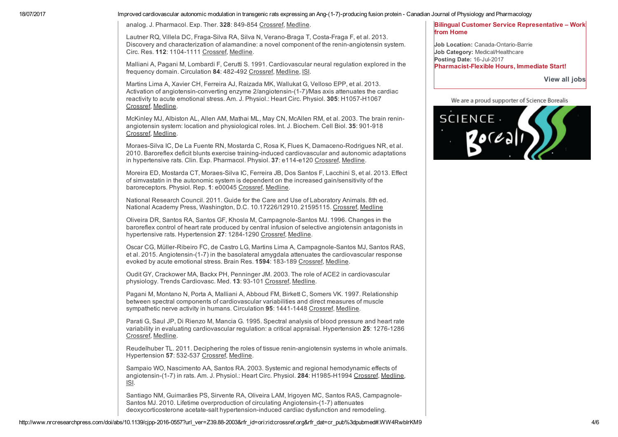analog. J. Pharmacol. Exp. Ther. 328: 849-854 [Crossref,](http://www.nrcresearchpress.com/servlet/linkout?suffix=refg19/ref19&dbid=16&doi=10.1139%2Fcjpp-2016-0557&key=10.1124%2Fjpet.108.146431) [Medline](http://www.nrcresearchpress.com/servlet/linkout?suffix=refg19/ref19&dbid=8&doi=10.1139%2Fcjpp-2016-0557&key=19038778).

Lautner RQ, Villela DC, Fraga-Silva RA, Silva N, Verano-Braga T, Costa-Fraga F, et al. 2013. Discovery and characterization of alamandine: a novel component of the renin-angiotensin system. Circ. Res. 112: 1104-1111 [Crossref,](http://www.nrcresearchpress.com/servlet/linkout?suffix=refg20/ref20&dbid=16&doi=10.1139%2Fcjpp-2016-0557&key=10.1161%2FCIRCRESAHA.113.301077) [Medline.](http://www.nrcresearchpress.com/servlet/linkout?suffix=refg20/ref20&dbid=8&doi=10.1139%2Fcjpp-2016-0557&key=23446738)

Malliani A, Pagani M, Lombardi F, Cerutti S. 1991. Cardiovascular neural regulation explored in the frequency domain. Circulation 84: 482-492 [Crossref](http://www.nrcresearchpress.com/servlet/linkout?suffix=refg21/ref21&dbid=16&doi=10.1139%2Fcjpp-2016-0557&key=10.1161%2F01.CIR.84.2.482), [Medline,](http://www.nrcresearchpress.com/servlet/linkout?suffix=refg21/ref21&dbid=8&doi=10.1139%2Fcjpp-2016-0557&key=1860193) [ISI](http://www.nrcresearchpress.com/servlet/linkout?suffix=refg21/ref21&dbid=128&doi=10.1139%2Fcjpp-2016-0557&key=A1991FZ37400002).

Martins Lima A, Xavier CH, Ferreira AJ, Raizada MK, Wallukat G, Velloso EPP, et al. 2013. Activation of angiotensin-converting enzyme 2/angiotensin-(1-7)/Mas axis attenuates the cardiac reactivity to acute emotional stress. Am. J. Physiol.: Heart Circ. Physiol. 305: H1057-H1067 [Crossref,](http://www.nrcresearchpress.com/servlet/linkout?suffix=refg22/ref22&dbid=16&doi=10.1139%2Fcjpp-2016-0557&key=10.1152%2Fajpheart.00433.2013) [Medline.](http://www.nrcresearchpress.com/servlet/linkout?suffix=refg22/ref22&dbid=8&doi=10.1139%2Fcjpp-2016-0557&key=23873801)

McKinley MJ, Albiston AL, Allen AM, Mathai ML, May CN, McAllen RM, et al. 2003. The brain reninangiotensin system: location and physiological roles. Int. J. Biochem. Cell Biol. 35: 901-918 [Crossref,](http://www.nrcresearchpress.com/servlet/linkout?suffix=refg23/ref23&dbid=16&doi=10.1139%2Fcjpp-2016-0557&key=10.1016%2FS1357-2725%2802%2900306-0) [Medline.](http://www.nrcresearchpress.com/servlet/linkout?suffix=refg23/ref23&dbid=8&doi=10.1139%2Fcjpp-2016-0557&key=12676175)

Moraes-Silva IC, De La Fuente RN, Mostarda C, Rosa K, Flues K, Damaceno-Rodrigues NR, et al. 2010. Baroreflex deficit blunts exercise training-induced cardiovascular and autonomic adaptations in hypertensive rats. Clin. Exp. Pharmacol. Physiol. 37: e114-e120 [Crossref](http://www.nrcresearchpress.com/servlet/linkout?suffix=refg24/ref24&dbid=16&doi=10.1139%2Fcjpp-2016-0557&key=10.1111%2Fj.1440-1681.2009.05333.x), [Medline.](http://www.nrcresearchpress.com/servlet/linkout?suffix=refg24/ref24&dbid=8&doi=10.1139%2Fcjpp-2016-0557&key=19930428)

Moreira ED, Mostarda CT, Moraes-Silva IC, Ferreira JB, Dos Santos F, Lacchini S, et al. 2013. Effect of simvastatin in the autonomic system is dependent on the increased gain/sensitivity of the baroreceptors. Physiol. Rep. 1: e00045 [Crossref](http://www.nrcresearchpress.com/servlet/linkout?suffix=refg25/ref25&dbid=16&doi=10.1139%2Fcjpp-2016-0557&key=10.1002%2Fphy2.45), [Medline.](http://www.nrcresearchpress.com/servlet/linkout?suffix=refg25/ref25&dbid=8&doi=10.1139%2Fcjpp-2016-0557&key=24303130)

National Research Council. 2011. Guide for the Care and Use of Laboratory Animals. 8th ed. National Academy Press, Washington, D.C. 10.17226/12910. 21595115. [Crossref](http://www.nrcresearchpress.com/servlet/linkout?suffix=refg15/ref15&dbid=16&doi=10.1139%2Fcjpp-2016-0557&key=10.17226%2F12910), [Medline](http://www.nrcresearchpress.com/servlet/linkout?suffix=refg15/ref15&dbid=8&doi=10.1139%2Fcjpp-2016-0557&key=21595115)

Oliveira DR, Santos RA, Santos GF, Khosla M, CampagnoleSantos MJ. 1996. Changes in the baroreflex control of heart rate produced by central infusion of selective angiotensin antagonists in hypertensive rats. Hypertension 27: 1284-1290 [Crossref,](http://www.nrcresearchpress.com/servlet/linkout?suffix=refg26/ref26&dbid=16&doi=10.1139%2Fcjpp-2016-0557&key=10.1161%2F01.HYP.27.6.1284) [Medline](http://www.nrcresearchpress.com/servlet/linkout?suffix=refg26/ref26&dbid=8&doi=10.1139%2Fcjpp-2016-0557&key=8641737).

Oscar CG, Müller-Ribeiro FC, de Castro LG, Martins Lima A, Campagnole-Santos MJ, Santos RAS, et al. 2015. Angiotensin-(1-7) in the basolateral amygdala attenuates the cardiovascular response evoked by acute emotional stress. Brain Res. 1594: 183-189 [Crossref,](http://www.nrcresearchpress.com/servlet/linkout?suffix=refg27/ref27&dbid=16&doi=10.1139%2Fcjpp-2016-0557&key=10.1016%2Fj.brainres.2014.11.006) [Medline.](http://www.nrcresearchpress.com/servlet/linkout?suffix=refg27/ref27&dbid=8&doi=10.1139%2Fcjpp-2016-0557&key=25446442)

Oudit GY, Crackower MA, Backx PH, Penninger JM. 2003. The role of ACE2 in cardiovascular physiology. Trends Cardiovasc. Med. 13: 93-101 [Crossref](http://www.nrcresearchpress.com/servlet/linkout?suffix=refg28/ref28&dbid=16&doi=10.1139%2Fcjpp-2016-0557&key=10.1016%2FS1050-1738%2802%2900233-5), [Medline](http://www.nrcresearchpress.com/servlet/linkout?suffix=refg28/ref28&dbid=8&doi=10.1139%2Fcjpp-2016-0557&key=12691672).

Pagani M, Montano N, Porta A, Malliani A, Abboud FM, Birkett C, Somers VK. 1997. Relationship between spectral components of cardiovascular variabilities and direct measures of muscle sympathetic nerve activity in humans. Circulation 95: 1441-1448 [Crossref](http://www.nrcresearchpress.com/servlet/linkout?suffix=refg29/ref29&dbid=16&doi=10.1139%2Fcjpp-2016-0557&key=10.1161%2F01.CIR.95.6.1441), [Medline.](http://www.nrcresearchpress.com/servlet/linkout?suffix=refg29/ref29&dbid=8&doi=10.1139%2Fcjpp-2016-0557&key=9118511)

Parati G, Saul JP, Di Rienzo M, Mancia G. 1995. Spectral analysis of blood pressure and heart rate variability in evaluating cardiovascular regulation: a critical appraisal. Hypertension 25: 1276-1286 [Crossref,](http://www.nrcresearchpress.com/servlet/linkout?suffix=refg30/ref30&dbid=16&doi=10.1139%2Fcjpp-2016-0557&key=10.1161%2F01.HYP.25.6.1276) [Medline.](http://www.nrcresearchpress.com/servlet/linkout?suffix=refg30/ref30&dbid=8&doi=10.1139%2Fcjpp-2016-0557&key=7768574)

Reudelhuber TL. 2011. Deciphering the roles of tissue renin-angiotensin systems in whole animals. Hypertension 57: 532-537 [Crossref](http://www.nrcresearchpress.com/servlet/linkout?suffix=refg31/ref31&dbid=16&doi=10.1139%2Fcjpp-2016-0557&key=10.1161%2FHYPERTENSIONAHA.110.167114), [Medline.](http://www.nrcresearchpress.com/servlet/linkout?suffix=refg31/ref31&dbid=8&doi=10.1139%2Fcjpp-2016-0557&key=21189400)

Sampaio WO, Nascimento AA, Santos RA. 2003. Systemic and regional hemodynamic effects of angiotensin-(1-7) in rats. Am. J. Physiol.: Heart Circ. Physiol. 284: H1985-H1994 [Crossref,](http://www.nrcresearchpress.com/servlet/linkout?suffix=refg32/ref32&dbid=16&doi=10.1139%2Fcjpp-2016-0557&key=10.1152%2Fajpheart.01145.2002) [Medline](http://www.nrcresearchpress.com/servlet/linkout?suffix=refg32/ref32&dbid=8&doi=10.1139%2Fcjpp-2016-0557&key=12573992), [ISI](http://www.nrcresearchpress.com/servlet/linkout?suffix=refg32/ref32&dbid=128&doi=10.1139%2Fcjpp-2016-0557&key=000182810000015).

Santiago NM, Guimarães PS, Sirvente RA, Oliveira LAM, Irigoyen MC, Santos RAS, Campagnole-Santos MJ. 2010. Lifetime overproduction of circulating Angiotensin-(1-7) attenuates deoxycorticosterone acetate-salt hypertension-induced cardiac dysfunction and remodeling.

#### Bilingual Customer Service [Representative](http://www.canadiansciencejobs.com/frontoffice/seekerViewJobDetailAction.do?sitecode=pl538&jobId=1491076&page=search&cid=N|C|CSJ|WIDGET&country=CA&language=en) – Work from Home

Job Location: Canada-Ontario-Barrie Job Category: Medical/Healthcare Posting Date: 16-Jul-2017 Pharmacist-Flexible Hours, Immediate Start!

[View](http://www.nrcresearchpress.com/action/clickThrough?id=1334&url=www.canadiansciencejobs.com%2Ffrontoffice%2FseekerSearchJobAction.do%3Fsitecode%3Dpl538%26cid%3DN%7CC%7CCSJ%7CWIDGET&loc=%2Fdoi%2Fabs%2F10.1139%2Fcjpp-2016-0557%3Furl_ver%3DZ39.88-2003%26rfr_id%3Dori%253Arid%253Acrossref.org%26rfr_dat%3Dcr_pub%253Dpubmed&pubId=40487532&placeholderId=1026&productId=1006) all jobs

We are a proud supporter of Science Borealis

![](_page_3_Picture_22.jpeg)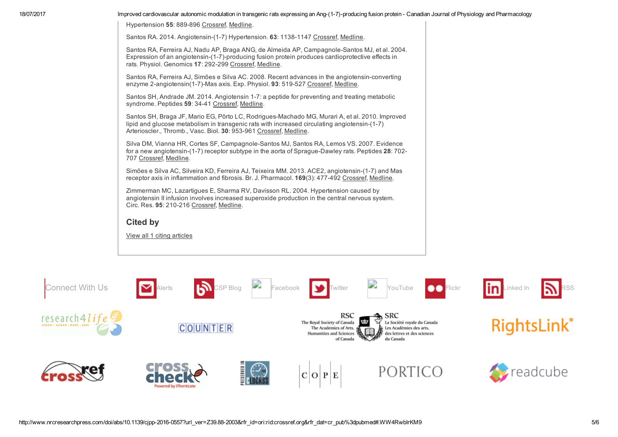Hypertension 55: 889-896 [Crossref](http://www.nrcresearchpress.com/servlet/linkout?suffix=refg33/ref33&dbid=16&doi=10.1139%2Fcjpp-2016-0557&key=10.1161%2FHYPERTENSIONAHA.110.149815), [Medline.](http://www.nrcresearchpress.com/servlet/linkout?suffix=refg33/ref33&dbid=8&doi=10.1139%2Fcjpp-2016-0557&key=20212262)

Santos RA. 2014. Angiotensin-(1-7) Hypertension. 63: 1138-1147 [Crossref,](http://www.nrcresearchpress.com/servlet/linkout?suffix=refg34/ref34&dbid=16&doi=10.1139%2Fcjpp-2016-0557&key=10.1161%2FHYPERTENSIONAHA.113.01274) [Medline.](http://www.nrcresearchpress.com/servlet/linkout?suffix=refg34/ref34&dbid=8&doi=10.1139%2Fcjpp-2016-0557&key=24664288)

Santos RA, Ferreira AJ, Nadu AP, Braga ANG, de Almeida AP, Campagnole-Santos MJ, et al. 2004. Expression of an angiotensin-(1-7)-producing fusion protein produces cardioprotective effects in rats. Physiol. Genomics 17: 292-299 [Crossref,](http://www.nrcresearchpress.com/servlet/linkout?suffix=refg35/ref35&dbid=16&doi=10.1139%2Fcjpp-2016-0557&key=10.1152%2Fphysiolgenomics.00227.2003) [Medline](http://www.nrcresearchpress.com/servlet/linkout?suffix=refg35/ref35&dbid=8&doi=10.1139%2Fcjpp-2016-0557&key=15039487).

Santos RA, Ferreira AJ, Simões e Silva AC. 2008. Recent advances in the angiotensin-converting enzyme 2-angiotensin(1-7)-Mas axis. Exp. Physiol. 93: 519-527 [Crossref](http://www.nrcresearchpress.com/servlet/linkout?suffix=refg36/ref36&dbid=16&doi=10.1139%2Fcjpp-2016-0557&key=10.1113%2Fexpphysiol.2008.042002), [Medline.](http://www.nrcresearchpress.com/servlet/linkout?suffix=refg36/ref36&dbid=8&doi=10.1139%2Fcjpp-2016-0557&key=18310257)

Santos SH, Andrade JM. 2014. Angiotensin 1-7: a peptide for preventing and treating metabolic syndrome. Peptides 59: 34-41 [Crossref](http://www.nrcresearchpress.com/servlet/linkout?suffix=refg37/ref37&dbid=16&doi=10.1139%2Fcjpp-2016-0557&key=10.1016%2Fj.peptides.2014.07.002), [Medline.](http://www.nrcresearchpress.com/servlet/linkout?suffix=refg37/ref37&dbid=8&doi=10.1139%2Fcjpp-2016-0557&key=25017239)

Santos SH, Braga JF, Mario EG, Pôrto LC, Rodrigues-Machado MG, Murari A, et al. 2010. Improved lipid and glucose metabolism in transgenic rats with increased circulating angiotensin- $(1-7)$ Arterioscler., Thromb., Vasc. Biol. 30: 953-961 [Crossref,](http://www.nrcresearchpress.com/servlet/linkout?suffix=refg38/ref38&dbid=16&doi=10.1139%2Fcjpp-2016-0557&key=10.1161%2FATVBAHA.109.200493) [Medline](http://www.nrcresearchpress.com/servlet/linkout?suffix=refg38/ref38&dbid=8&doi=10.1139%2Fcjpp-2016-0557&key=20203301).

Silva DM, Vianna HR, Cortes SF, Campagnole-Santos MJ, Santos RA, Lemos VS. 2007. Evidence for a new angiotensin-(1-7) receptor subtype in the aorta of Sprague-Dawley rats. Peptides 28: 702-707 [Crossref](http://www.nrcresearchpress.com/servlet/linkout?suffix=refg39/ref39&dbid=16&doi=10.1139%2Fcjpp-2016-0557&key=10.1016%2Fj.peptides.2006.10.007), [Medline.](http://www.nrcresearchpress.com/servlet/linkout?suffix=refg39/ref39&dbid=8&doi=10.1139%2Fcjpp-2016-0557&key=17129638)

Simões e Silva AC, Silveira KD, Ferreira AJ, Teixeira MM. 2013. ACE2, angiotensin-(1-7) and Mas receptor axis in inflammation and fibrosis. Br. J. Pharmacol. 169(3): 477492 [Crossref,](http://www.nrcresearchpress.com/servlet/linkout?suffix=refg40/ref40&dbid=16&doi=10.1139%2Fcjpp-2016-0557&key=10.1111%2Fbph.12159) [Medline](http://www.nrcresearchpress.com/servlet/linkout?suffix=refg40/ref40&dbid=8&doi=10.1139%2Fcjpp-2016-0557&key=23488800).

Zimmerman MC, Lazartigues E, Sharma RV, Davisson RL. 2004. Hypertension caused by angiotensin II infusion involves increased superoxide production in the central nervous system. Circ. Res. 95: 210-216 [Crossref,](http://www.nrcresearchpress.com/servlet/linkout?suffix=refg41/ref41&dbid=16&doi=10.1139%2Fcjpp-2016-0557&key=10.1161%2F01.RES.0000135483.12297.e4) [Medline.](http://www.nrcresearchpress.com/servlet/linkout?suffix=refg41/ref41&dbid=8&doi=10.1139%2Fcjpp-2016-0557&key=15192025)

#### <span id="page-4-0"></span>Cited by

View all 1 citing [articles](http://www.nrcresearchpress.com/doi/citedby/10.1139/cjpp-2016-0557)

![](_page_4_Picture_13.jpeg)